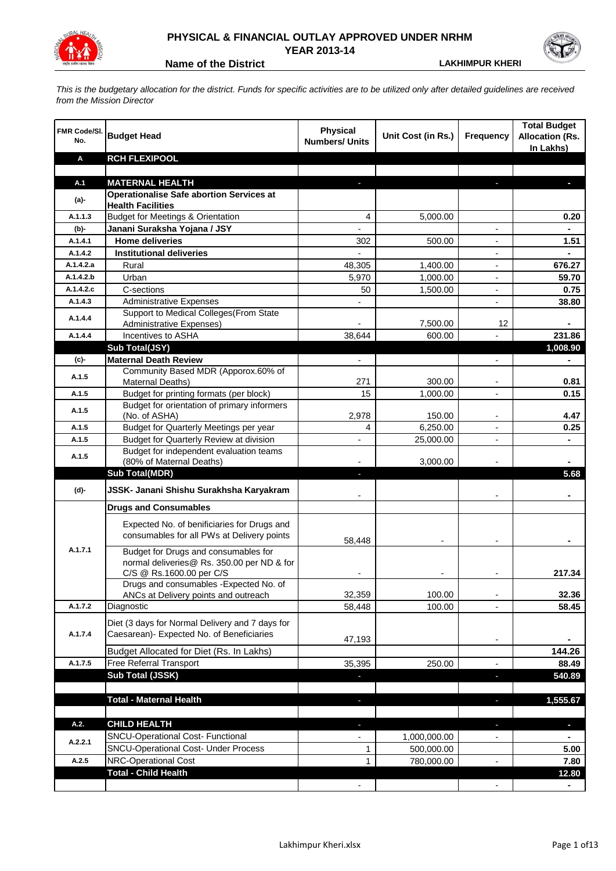

## **PHYSICAL & FINANCIAL OUTLAY APPROVED UNDER NRHM YEAR 2013-14**

**Name of the District LAKHIMPUR KHERI**

*This is the budgetary allocation for the district. Funds for specific activities are to be utilized only after detailed guidelines are received from the Mission Director*

| FMR Code/SI.<br>No. | <b>Budget Head</b>                                                                           | <b>Physical</b><br><b>Numbers/ Units</b> | Unit Cost (in Rs.) | <b>Frequency</b>         | <b>Total Budget</b><br><b>Allocation (Rs.</b><br>In Lakhs) |
|---------------------|----------------------------------------------------------------------------------------------|------------------------------------------|--------------------|--------------------------|------------------------------------------------------------|
| Α                   | <b>RCH FLEXIPOOL</b>                                                                         |                                          |                    |                          |                                                            |
|                     |                                                                                              |                                          |                    |                          |                                                            |
| A.1                 | <b>MATERNAL HEALTH</b>                                                                       |                                          |                    |                          |                                                            |
| $(a)$ -             | <b>Operationalise Safe abortion Services at</b><br><b>Health Facilities</b>                  |                                          |                    |                          |                                                            |
| A.1.1.3             | <b>Budget for Meetings &amp; Orientation</b>                                                 | 4                                        | 5,000.00           |                          | 0.20                                                       |
| (b)-                | Janani Suraksha Yojana / JSY                                                                 |                                          |                    |                          |                                                            |
| A.1.4.1             | <b>Home deliveries</b>                                                                       | 302                                      | 500.00             |                          | 1.51                                                       |
| A.1.4.2             | <b>Institutional deliveries</b>                                                              |                                          |                    |                          |                                                            |
| A.1.4.2.a           | Rural                                                                                        | 48,305                                   | 1,400.00           |                          | 676.27                                                     |
| A.1.4.2.b           | Urban                                                                                        | 5,970                                    | 1,000.00           |                          | 59.70                                                      |
| A.1.4.2.c           | C-sections                                                                                   | 50                                       | 1,500.00           |                          | 0.75                                                       |
| A.1.4.3             | <b>Administrative Expenses</b>                                                               |                                          |                    | $\overline{a}$           | 38.80                                                      |
|                     | Support to Medical Colleges (From State                                                      |                                          |                    |                          |                                                            |
| A.1.4.4             | <b>Administrative Expenses)</b>                                                              |                                          | 7,500.00           | 12                       |                                                            |
| A.1.4.4             | Incentives to ASHA                                                                           | 38,644                                   | 600.00             |                          | 231.86                                                     |
|                     | Sub Total(JSY)                                                                               |                                          |                    |                          | 1,008.90                                                   |
| (c)-                | <b>Maternal Death Review</b>                                                                 | $\overline{\phantom{a}}$                 |                    | $\overline{\phantom{a}}$ | $\blacksquare$                                             |
|                     | Community Based MDR (Apporox.60% of                                                          |                                          |                    |                          |                                                            |
| A.1.5               | Maternal Deaths)                                                                             | 271                                      | 300.00             | $\blacksquare$           | 0.81                                                       |
| A.1.5               | Budget for printing formats (per block)                                                      | 15                                       | 1,000.00           |                          | 0.15                                                       |
| A.1.5               | Budget for orientation of primary informers                                                  |                                          |                    |                          |                                                            |
|                     | (No. of ASHA)                                                                                | 2,978                                    | 150.00             | $\overline{\phantom{a}}$ | 4.47                                                       |
| A.1.5               | Budget for Quarterly Meetings per year                                                       | 4                                        | 6,250.00           |                          | 0.25                                                       |
| A.1.5               | Budget for Quarterly Review at division                                                      | $\overline{\phantom{a}}$                 | 25,000.00          |                          |                                                            |
| A.1.5               | Budget for independent evaluation teams                                                      |                                          |                    |                          |                                                            |
|                     | (80% of Maternal Deaths)                                                                     |                                          | 3,000.00           |                          |                                                            |
|                     | <b>Sub Total(MDR)</b>                                                                        | L.                                       |                    |                          | 5.68                                                       |
| (d)-                | JSSK- Janani Shishu Surakhsha Karyakram                                                      |                                          |                    |                          |                                                            |
|                     | <b>Drugs and Consumables</b>                                                                 |                                          |                    |                          |                                                            |
|                     | Expected No. of benificiaries for Drugs and                                                  |                                          |                    |                          |                                                            |
|                     | consumables for all PWs at Delivery points                                                   |                                          |                    |                          |                                                            |
|                     |                                                                                              | 58,448                                   |                    |                          |                                                            |
| A.1.7.1             | Budget for Drugs and consumables for                                                         |                                          |                    |                          |                                                            |
|                     | normal deliveries@ Rs. 350.00 per ND & for                                                   |                                          |                    |                          | 217.34                                                     |
|                     | C/S @ Rs.1600.00 per C/S<br>Drugs and consumables - Expected No. of                          |                                          |                    |                          |                                                            |
|                     | ANCs at Delivery points and outreach                                                         | 32,359                                   | 100.00             |                          | 32.36                                                      |
| A.1.7.2             | Diagnostic                                                                                   | 58,448                                   | 100.00             |                          | 58.45                                                      |
|                     |                                                                                              |                                          |                    |                          |                                                            |
| A.1.7.4             | Diet (3 days for Normal Delivery and 7 days for<br>Caesarean)- Expected No. of Beneficiaries |                                          |                    |                          |                                                            |
|                     |                                                                                              | 47,193                                   |                    | $\overline{\phantom{a}}$ |                                                            |
|                     | Budget Allocated for Diet (Rs. In Lakhs)                                                     |                                          |                    |                          | 144.26                                                     |
| A.1.7.5             | Free Referral Transport                                                                      | 35,395                                   | 250.00             | -                        | 88.49                                                      |
|                     | <b>Sub Total (JSSK)</b>                                                                      |                                          |                    | ÷,                       | 540.89                                                     |
|                     |                                                                                              |                                          |                    |                          |                                                            |
|                     | <b>Total - Maternal Health</b>                                                               | J,                                       |                    | o,                       | 1,555.67                                                   |
|                     |                                                                                              |                                          |                    |                          |                                                            |
| A.2.                | <b>CHILD HEALTH</b>                                                                          |                                          |                    | J,                       | ٠                                                          |
| A.2.2.1             | SNCU-Operational Cost- Functional                                                            |                                          | 1,000,000.00       |                          |                                                            |
|                     | <b>SNCU-Operational Cost- Under Process</b>                                                  | 1                                        | 500,000.00         |                          | 5.00                                                       |
| A.2.5               | NRC-Operational Cost                                                                         | 1                                        | 780,000.00         |                          | 7.80                                                       |
|                     | <b>Total - Child Health</b>                                                                  |                                          |                    |                          | 12.80                                                      |
|                     |                                                                                              |                                          |                    |                          |                                                            |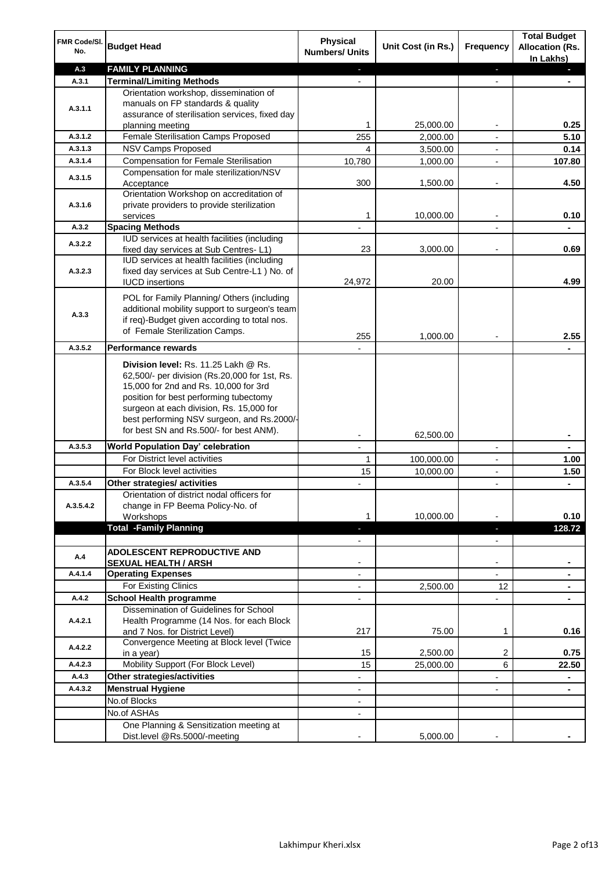| FMR Code/SI.<br>No.  | <b>Budget Head</b>                                                                                                                                                                                                                                                                                            | <b>Physical</b><br><b>Numbers/ Units</b>             | Unit Cost (in Rs.) | <b>Frequency</b>              | <b>Total Budget</b><br><b>Allocation (Rs.</b><br>In Lakhs) |
|----------------------|---------------------------------------------------------------------------------------------------------------------------------------------------------------------------------------------------------------------------------------------------------------------------------------------------------------|------------------------------------------------------|--------------------|-------------------------------|------------------------------------------------------------|
| A.3                  | <b>FAMILY PLANNING</b>                                                                                                                                                                                                                                                                                        | $\sim$                                               |                    | $\blacksquare$                | $\sim$                                                     |
| A.3.1                | <b>Terminal/Limiting Methods</b>                                                                                                                                                                                                                                                                              |                                                      |                    |                               |                                                            |
| A.3.1.1              | Orientation workshop, dissemination of<br>manuals on FP standards & quality<br>assurance of sterilisation services, fixed day<br>planning meeting                                                                                                                                                             | 1                                                    | 25,000.00          | $\overline{\phantom{a}}$      | 0.25                                                       |
| A.3.1.2              | Female Sterilisation Camps Proposed                                                                                                                                                                                                                                                                           | 255                                                  | 2,000.00           |                               | 5.10                                                       |
| A.3.1.3              | <b>NSV Camps Proposed</b>                                                                                                                                                                                                                                                                                     | 4                                                    | 3,500.00           |                               | 0.14                                                       |
| A.3.1.4              | <b>Compensation for Female Sterilisation</b>                                                                                                                                                                                                                                                                  | 10,780                                               | 1,000.00           | $\overline{\phantom{a}}$      | 107.80                                                     |
| A.3.1.5              | Compensation for male sterilization/NSV<br>Acceptance                                                                                                                                                                                                                                                         | 300                                                  | 1,500.00           |                               | 4.50                                                       |
| A.3.1.6              | Orientation Workshop on accreditation of<br>private providers to provide sterilization<br>services                                                                                                                                                                                                            | 1                                                    | 10,000.00          | $\blacksquare$                | 0.10                                                       |
| A.3.2                | <b>Spacing Methods</b>                                                                                                                                                                                                                                                                                        |                                                      |                    |                               | ä,                                                         |
| A.3.2.2              | IUD services at health facilities (including<br>fixed day services at Sub Centres-L1)                                                                                                                                                                                                                         | 23                                                   | 3,000.00           | $\overline{\phantom{a}}$      | 0.69                                                       |
| A.3.2.3              | IUD services at health facilities (including<br>fixed day services at Sub Centre-L1 ) No. of<br><b>IUCD</b> insertions                                                                                                                                                                                        | 24,972                                               | 20.00              |                               | 4.99                                                       |
| A.3.3                | POL for Family Planning/ Others (including<br>additional mobility support to surgeon's team<br>if req)-Budget given according to total nos.<br>of Female Sterilization Camps.                                                                                                                                 | 255                                                  | 1,000.00           |                               | 2.55                                                       |
| A.3.5.2              | <b>Performance rewards</b>                                                                                                                                                                                                                                                                                    |                                                      |                    |                               |                                                            |
|                      | Division level: Rs. 11.25 Lakh @ Rs.<br>62,500/- per division (Rs.20,000 for 1st, Rs.<br>15,000 for 2nd and Rs. 10,000 for 3rd<br>position for best performing tubectomy<br>surgeon at each division, Rs. 15,000 for<br>best performing NSV surgeon, and Rs.2000/-<br>for best SN and Rs.500/- for best ANM). |                                                      |                    |                               |                                                            |
|                      |                                                                                                                                                                                                                                                                                                               |                                                      | 62,500.00          |                               | ۰                                                          |
| A.3.5.3              | World Population Day' celebration                                                                                                                                                                                                                                                                             |                                                      |                    |                               |                                                            |
|                      | For District level activities                                                                                                                                                                                                                                                                                 | 1                                                    | 100,000.00         |                               | 1.00                                                       |
|                      | For Block level activities                                                                                                                                                                                                                                                                                    | 15                                                   | 10,000.00          | $\blacksquare$                | 1.50                                                       |
| A.3.5.4<br>A.3.5.4.2 | Other strategies/ activities<br>Orientation of district nodal officers for<br>change in FP Beema Policy-No. of<br>Workshops                                                                                                                                                                                   | 1                                                    | 10,000.00          |                               | 0.10                                                       |
|                      | <b>Total -Family Planning</b>                                                                                                                                                                                                                                                                                 | $\overline{\phantom{a}}$<br>$\overline{\phantom{a}}$ |                    | ٠<br>$\overline{\phantom{a}}$ | 128.72                                                     |
| A.4                  | ADOLESCENT REPRODUCTIVE AND<br><b>SEXUAL HEALTH / ARSH</b>                                                                                                                                                                                                                                                    |                                                      |                    | $\blacksquare$                |                                                            |
| A.4.1.4              | <b>Operating Expenses</b>                                                                                                                                                                                                                                                                                     |                                                      |                    |                               |                                                            |
|                      | For Existing Clinics                                                                                                                                                                                                                                                                                          | $\blacksquare$                                       | 2,500.00           | 12                            | ۰                                                          |
| A.4.2                | <b>School Health programme</b>                                                                                                                                                                                                                                                                                | $\blacksquare$                                       |                    | $\overline{a}$                |                                                            |
| A.4.2.1              | Dissemination of Guidelines for School<br>Health Programme (14 Nos. for each Block<br>and 7 Nos. for District Level)                                                                                                                                                                                          | 217                                                  | 75.00              | 1                             | 0.16                                                       |
| A.4.2.2              | Convergence Meeting at Block level (Twice<br>in a year)                                                                                                                                                                                                                                                       | 15                                                   | 2,500.00           | 2                             | 0.75                                                       |
| A.4.2.3              | Mobility Support (For Block Level)                                                                                                                                                                                                                                                                            | 15                                                   | 25,000.00          | 6                             | 22.50                                                      |
| A.4.3                | Other strategies/activities                                                                                                                                                                                                                                                                                   | $\overline{\phantom{0}}$                             |                    | -                             | ۰                                                          |
| A.4.3.2              | <b>Menstrual Hygiene</b>                                                                                                                                                                                                                                                                                      | $\overline{\phantom{a}}$                             |                    | ٠                             | ۰                                                          |
|                      | No.of Blocks                                                                                                                                                                                                                                                                                                  | $\overline{\phantom{a}}$                             |                    |                               |                                                            |
|                      | No.of ASHAs                                                                                                                                                                                                                                                                                                   | $\overline{\phantom{a}}$                             |                    |                               |                                                            |
|                      | One Planning & Sensitization meeting at<br>Dist.level @Rs.5000/-meeting                                                                                                                                                                                                                                       |                                                      | 5,000.00           |                               |                                                            |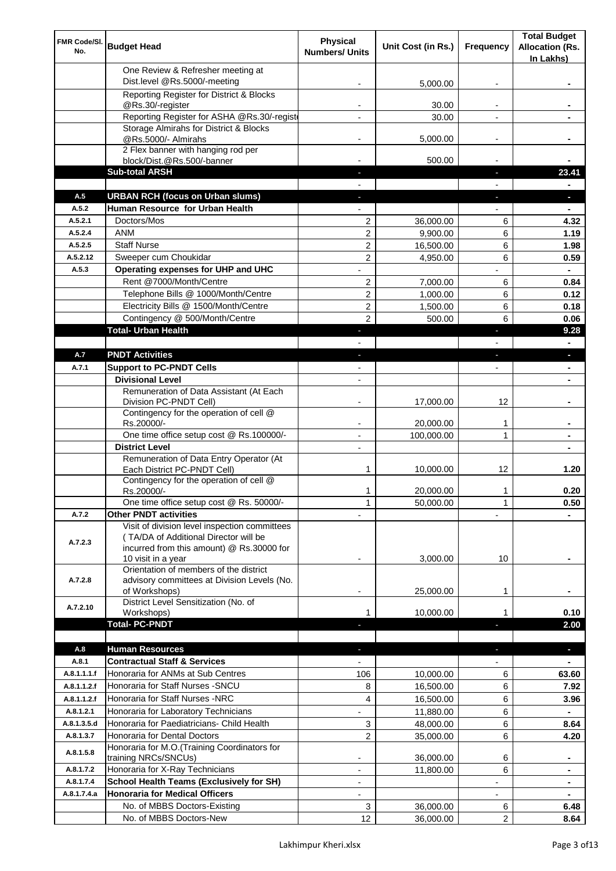| FMR Code/SI.<br>No. | <b>Budget Head</b>                                                     | Physical<br><b>Numbers/ Units</b> | Unit Cost (in Rs.) | Frequency                | <b>Total Budget</b><br><b>Allocation (Rs.</b> |
|---------------------|------------------------------------------------------------------------|-----------------------------------|--------------------|--------------------------|-----------------------------------------------|
|                     |                                                                        |                                   |                    |                          | In Lakhs)                                     |
|                     | One Review & Refresher meeting at                                      |                                   |                    |                          |                                               |
|                     | Dist.level @Rs.5000/-meeting                                           |                                   | 5,000.00           |                          |                                               |
|                     | Reporting Register for District & Blocks<br>@Rs.30/-register           |                                   | 30.00              |                          |                                               |
|                     | Reporting Register for ASHA @Rs.30/-regist                             |                                   | 30.00              |                          |                                               |
|                     | Storage Almirahs for District & Blocks                                 |                                   |                    |                          |                                               |
|                     | @Rs.5000/- Almirahs                                                    | $\blacksquare$                    | 5,000.00           | $\overline{\phantom{a}}$ |                                               |
|                     | 2 Flex banner with hanging rod per                                     |                                   |                    |                          |                                               |
|                     | block/Dist.@Rs.500/-banner<br><b>Sub-total ARSH</b>                    |                                   | 500.00             | $\sim$                   | 23.41                                         |
|                     |                                                                        |                                   |                    |                          |                                               |
| A.5                 | <b>URBAN RCH (focus on Urban slums)</b>                                |                                   |                    |                          |                                               |
| A.5.2               | Human Resource for Urban Health                                        |                                   |                    |                          |                                               |
| A.5.2.1             | Doctors/Mos                                                            | $\overline{2}$                    | 36,000.00          | 6                        | 4.32                                          |
| A.5.2.4             | <b>ANM</b>                                                             | $\overline{c}$                    | 9,900.00           | 6                        | 1.19                                          |
| A.5.2.5             | <b>Staff Nurse</b>                                                     | 2                                 | 16,500.00          | 6                        | 1.98                                          |
| A.5.2.12            | Sweeper cum Choukidar                                                  | 2                                 | 4,950.00           | 6                        | 0.59                                          |
| A.5.3               | Operating expenses for UHP and UHC                                     |                                   |                    |                          | $\blacksquare$                                |
|                     | Rent @7000/Month/Centre                                                | 2                                 | 7,000.00           | 6                        | 0.84                                          |
|                     | Telephone Bills @ 1000/Month/Centre                                    | $\overline{c}$                    | 1,000.00           | 6                        | 0.12                                          |
|                     | Electricity Bills @ 1500/Month/Centre                                  | $\overline{c}$                    | 1,500.00           | 6                        | 0.18                                          |
|                     | Contingency @ 500/Month/Centre                                         | $\overline{2}$                    | 500.00             | 6                        | 0.06                                          |
|                     | <b>Total- Urban Health</b>                                             | ÷.                                |                    | ×                        | 9.28                                          |
|                     |                                                                        |                                   |                    |                          | $\blacksquare$                                |
| A.7                 | <b>PNDT Activities</b>                                                 | ٠                                 |                    | ×                        | ٠                                             |
| A.7.1               | <b>Support to PC-PNDT Cells</b><br><b>Divisional Level</b>             | $\blacksquare$                    |                    | $\blacksquare$           | ٠                                             |
|                     | Remuneration of Data Assistant (At Each                                | $\blacksquare$                    |                    |                          |                                               |
|                     | Division PC-PNDT Cell)                                                 |                                   | 17,000.00          | 12                       |                                               |
|                     | Contingency for the operation of cell @                                |                                   |                    |                          |                                               |
|                     | Rs.20000/-                                                             |                                   | 20,000.00          | 1                        |                                               |
|                     | One time office setup cost @ Rs.100000/-                               |                                   | 100,000.00         | 1                        |                                               |
|                     | <b>District Level</b>                                                  | $\overline{\phantom{a}}$          |                    |                          |                                               |
|                     | Remuneration of Data Entry Operator (At<br>Each District PC-PNDT Cell) | 1                                 | 10,000.00          | 12                       | 1.20                                          |
|                     | Contingency for the operation of cell @                                |                                   |                    |                          |                                               |
|                     | Rs.20000/-                                                             | 1                                 | 20,000.00          | 1                        | 0.20                                          |
|                     | One time office setup cost @ Rs. 50000/-                               | $\mathbf{1}$                      | 50,000.00          | 1                        | 0.50                                          |
| A.7.2               | <b>Other PNDT activities</b>                                           |                                   |                    |                          |                                               |
|                     | Visit of division level inspection committees                          |                                   |                    |                          |                                               |
| A.7.2.3             | (TA/DA of Additional Director will be                                  |                                   |                    |                          |                                               |
|                     | incurred from this amount) @ Rs.30000 for<br>10 visit in a year        |                                   | 3,000.00           | 10                       |                                               |
|                     | Orientation of members of the district                                 |                                   |                    |                          |                                               |
| A.7.2.8             | advisory committees at Division Levels (No.                            |                                   |                    |                          |                                               |
|                     | of Workshops)                                                          | ۰                                 | 25,000.00          | 1                        |                                               |
| A.7.2.10            | District Level Sensitization (No. of                                   |                                   |                    |                          |                                               |
|                     | Workshops)<br><b>Total- PC-PNDT</b>                                    |                                   | 10,000.00          |                          | 0.10<br>2.00                                  |
|                     |                                                                        |                                   |                    |                          |                                               |
| A.8                 | <b>Human Resources</b>                                                 |                                   |                    |                          | ÷.                                            |
| A.8.1               | <b>Contractual Staff &amp; Services</b>                                |                                   |                    |                          |                                               |
| A.8.1.1.1.f         | Honoraria for ANMs at Sub Centres                                      | 106                               | 10,000.00          | 6                        | 63.60                                         |
| A.8.1.1.2.f         | Honoraria for Staff Nurses - SNCU                                      | 8                                 | 16,500.00          | 6                        | 7.92                                          |
| A.8.1.1.2.f         | Honoraria for Staff Nurses -NRC                                        | 4                                 | 16,500.00          | 6                        | 3.96                                          |
| A.8.1.2.1           | Honoraria for Laboratory Technicians                                   |                                   | 11,880.00          | 6                        |                                               |
| A.8.1.3.5.d         | Honoraria for Paediatricians- Child Health                             | 3                                 | 48,000.00          | 6                        | 8.64                                          |
| A.8.1.3.7           | Honoraria for Dental Doctors                                           | $\overline{2}$                    | 35,000.00          | 6                        | 4.20                                          |
| A.8.1.5.8           | Honoraria for M.O.(Training Coordinators for                           |                                   |                    |                          |                                               |
|                     | training NRCs/SNCUs)                                                   |                                   | 36,000.00          | 6                        | ۰                                             |
| A.8.1.7.2           | Honoraria for X-Ray Technicians                                        |                                   | 11,800.00          | 6                        |                                               |
| A.8.1.7.4           | <b>School Health Teams (Exclusively for SH)</b>                        |                                   |                    |                          | ۰                                             |
| A.8.1.7.4.a         | <b>Honoraria for Medical Officers</b>                                  | $\overline{\phantom{a}}$          |                    |                          |                                               |
|                     | No. of MBBS Doctors-Existing                                           | 3                                 | 36,000.00          | 6                        | 6.48                                          |
|                     | No. of MBBS Doctors-New                                                | 12                                | 36,000.00          | 2                        | 8.64                                          |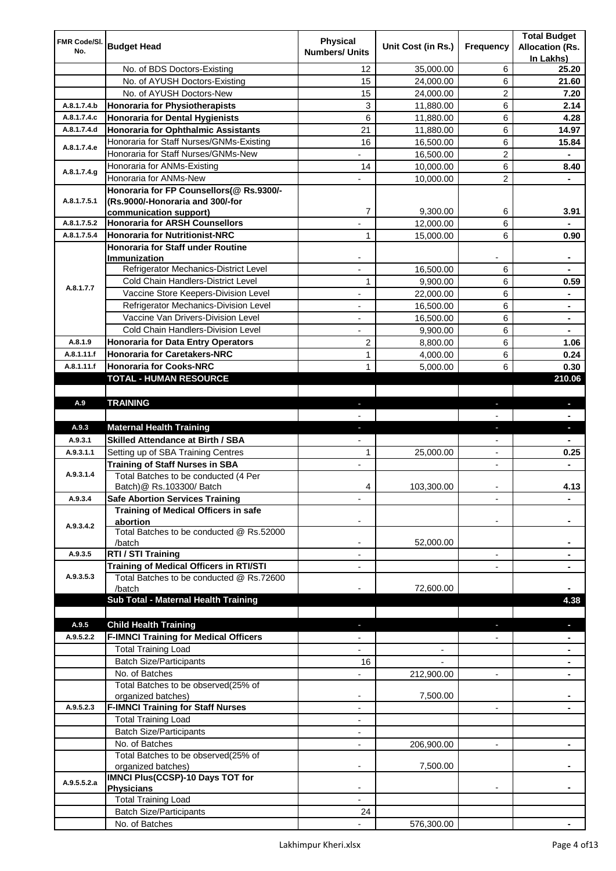| FMR Code/SI.               |                                                                | <b>Physical</b>          |                    |                          | <b>Total Budget</b>    |
|----------------------------|----------------------------------------------------------------|--------------------------|--------------------|--------------------------|------------------------|
| No.                        | <b>Budget Head</b>                                             | <b>Numbers/ Units</b>    | Unit Cost (in Rs.) | Frequency                | <b>Allocation (Rs.</b> |
|                            |                                                                |                          |                    |                          | In Lakhs)              |
|                            | No. of BDS Doctors-Existing                                    | 12                       | 35,000.00          | 6                        | 25.20                  |
|                            | No. of AYUSH Doctors-Existing                                  | 15                       | 24,000.00          | 6                        | 21.60                  |
|                            | No. of AYUSH Doctors-New                                       | 15                       | 24,000.00          | 2                        | 7.20                   |
| A.8.1.7.4.b                | <b>Honoraria for Physiotherapists</b>                          | 3                        | 11,880.00          | 6                        | 2.14                   |
| A.8.1.7.4.c                | <b>Honoraria for Dental Hygienists</b>                         | 6                        | 11,880.00          | 6                        | 4.28                   |
| A.8.1.7.4.d                | <b>Honoraria for Ophthalmic Assistants</b>                     | 21                       | 11,880.00          | 6                        | 14.97                  |
| A.8.1.7.4.e                | Honoraria for Staff Nurses/GNMs-Existing                       | 16                       | 16,500.00          | 6                        | 15.84                  |
|                            | Honoraria for Staff Nurses/GNMs-New                            |                          | 16,500.00          | $\overline{c}$           |                        |
| A.8.1.7.4.g                | Honoraria for ANMs-Existing                                    | 14                       | 10,000.00          | 6                        | 8.40                   |
|                            | Honoraria for ANMs-New                                         |                          | 10,000.00          | 2                        |                        |
|                            | Honoraria for FP Counsellors(@ Rs.9300/-                       |                          |                    |                          |                        |
| A.8.1.7.5.1                | (Rs.9000/-Honoraria and 300/-for                               |                          |                    |                          |                        |
|                            | communication support)                                         | 7                        | 9,300.00           | 6                        | 3.91                   |
| A.8.1.7.5.2<br>A.8.1.7.5.4 | <b>Honoraria for ARSH Counsellors</b>                          |                          | 12,000.00          | 6                        |                        |
|                            | <b>Honoraria for Nutritionist-NRC</b>                          | 1                        | 15,000.00          | 6                        | 0.90                   |
|                            | <b>Honoraria for Staff under Routine</b><br>Immunization       |                          |                    |                          |                        |
|                            | Refrigerator Mechanics-District Level                          | $\overline{a}$           | 16,500.00          | 6                        |                        |
|                            | Cold Chain Handlers-District Level                             | 1                        | 9,900.00           | 6                        | 0.59                   |
| A.8.1.7.7                  | Vaccine Store Keepers-Division Level                           |                          |                    | 6                        |                        |
|                            | Refrigerator Mechanics-Division Level                          |                          | 22,000.00          |                          |                        |
|                            |                                                                | $\blacksquare$           | 16,500.00          | 6                        | ۰                      |
|                            | Vaccine Van Drivers-Division Level                             | ÷,                       | 16,500.00          | 6                        | ۰                      |
|                            | Cold Chain Handlers-Division Level                             | $\overline{\phantom{a}}$ | 9,900.00           | 6                        | $\blacksquare$         |
| A.8.1.9                    | <b>Honoraria for Data Entry Operators</b>                      | 2                        | 8,800.00           | 6                        | 1.06                   |
| A.8.1.11.f                 | <b>Honoraria for Caretakers-NRC</b>                            | $\mathbf{1}$             | 4,000.00           | 6                        | 0.24                   |
| A.8.1.11.f                 | <b>Honoraria for Cooks-NRC</b>                                 | $\mathbf{1}$             | 5,000.00           | 6                        | 0.30                   |
|                            | TOTAL - HUMAN RESOURCE                                         |                          |                    |                          | 210.06                 |
|                            |                                                                |                          |                    |                          |                        |
| A.9                        | <b>TRAINING</b>                                                | ٠                        |                    | ٠                        | ٠                      |
|                            |                                                                |                          |                    |                          |                        |
| A.9.3                      | <b>Maternal Health Training</b>                                | ٠                        |                    | ٠                        | ٠                      |
| A.9.3.1                    | <b>Skilled Attendance at Birth / SBA</b>                       |                          |                    |                          |                        |
| A.9.3.1.1                  | Setting up of SBA Training Centres                             | 1                        | 25,000.00          | $\overline{\phantom{a}}$ | 0.25                   |
|                            | <b>Training of Staff Nurses in SBA</b>                         | $\overline{\phantom{a}}$ |                    | $\overline{\phantom{0}}$ |                        |
| A.9.3.1.4                  | Total Batches to be conducted (4 Per                           |                          |                    |                          |                        |
|                            |                                                                |                          |                    |                          |                        |
|                            | Batch) @ Rs.103300/ Batch                                      | 4                        | 103,300.00         |                          | 4.13                   |
| A.9.3.4                    | <b>Safe Abortion Services Training</b>                         |                          |                    |                          |                        |
|                            | Training of Medical Officers in safe                           |                          |                    |                          |                        |
| A.9.3.4.2                  | abortion                                                       |                          |                    |                          |                        |
|                            | Total Batches to be conducted @ Rs.52000                       |                          |                    |                          |                        |
|                            | /batch                                                         |                          | 52,000.00          | $\overline{a}$           |                        |
| A.9.3.5                    | RTI / STI Training                                             |                          |                    |                          |                        |
| A.9.3.5.3                  | Training of Medical Officers in RTI/STI                        |                          |                    |                          |                        |
|                            | Total Batches to be conducted @ Rs.72600<br>/batch             |                          | 72,600.00          |                          |                        |
|                            |                                                                |                          |                    |                          | 4.38                   |
|                            | Sub Total - Maternal Health Training                           |                          |                    |                          |                        |
| A.9.5                      |                                                                |                          |                    |                          |                        |
| A.9.5.2.2                  | <b>Child Health Training</b>                                   |                          |                    |                          |                        |
|                            | <b>F-IMNCI Training for Medical Officers</b>                   |                          |                    |                          |                        |
|                            | <b>Total Training Load</b>                                     |                          |                    |                          |                        |
|                            | <b>Batch Size/Participants</b>                                 | 16                       |                    | $\overline{a}$           |                        |
|                            | No. of Batches                                                 |                          | 212,900.00         |                          |                        |
|                            | Total Batches to be observed(25% of                            | $\overline{\phantom{a}}$ |                    |                          |                        |
| A.9.5.2.3                  | organized batches)<br><b>F-IMNCI Training for Staff Nurses</b> | $\overline{\phantom{a}}$ | 7,500.00           | $\overline{\phantom{a}}$ | ۰                      |
|                            |                                                                | $\overline{\phantom{a}}$ |                    |                          |                        |
|                            | <b>Total Training Load</b>                                     |                          |                    |                          |                        |
|                            | <b>Batch Size/Participants</b><br>No. of Batches               | $\overline{\phantom{a}}$ |                    | $\overline{\phantom{a}}$ | ۰                      |
|                            |                                                                |                          | 206,900.00         |                          |                        |
|                            | Total Batches to be observed(25% of                            |                          | 7,500.00           |                          |                        |
|                            | organized batches)<br>IMNCI Plus(CCSP)-10 Days TOT for         |                          |                    |                          |                        |
| A.9.5.5.2.a                | <b>Physicians</b>                                              |                          |                    |                          |                        |
|                            | <b>Total Training Load</b>                                     |                          |                    |                          |                        |
|                            | <b>Batch Size/Participants</b>                                 | 24                       |                    |                          |                        |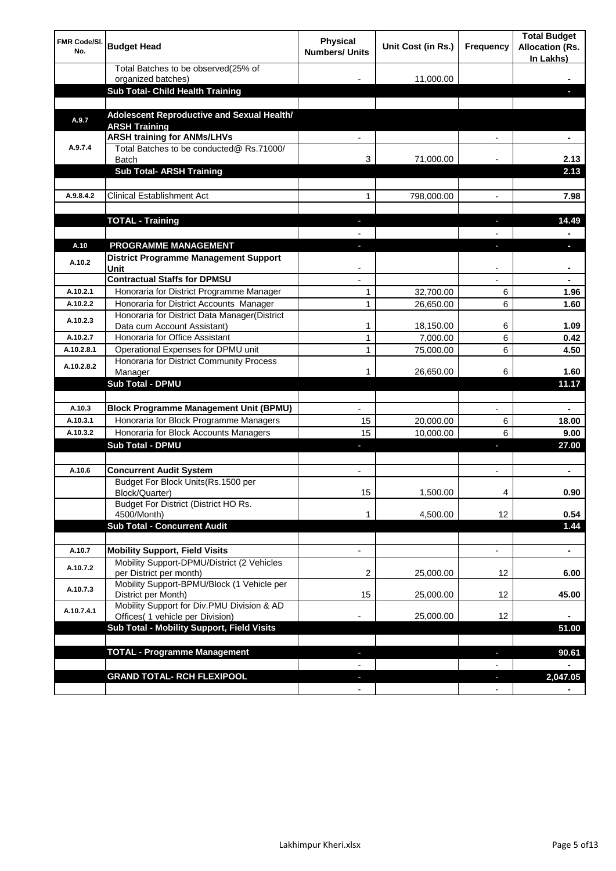| <b>FMR Code/SI.</b><br>No. | <b>Budget Head</b>                                                             | Physical<br><b>Numbers/ Units</b> | Unit Cost (in Rs.) | Frequency                | <b>Total Budget</b><br><b>Allocation (Rs.</b><br>In Lakhs) |
|----------------------------|--------------------------------------------------------------------------------|-----------------------------------|--------------------|--------------------------|------------------------------------------------------------|
|                            | Total Batches to be observed(25% of                                            |                                   | 11,000.00          |                          |                                                            |
|                            | organized batches)<br>Sub Total- Child Health Training                         |                                   |                    |                          |                                                            |
|                            |                                                                                |                                   |                    |                          |                                                            |
| A.9.7                      | Adolescent Reproductive and Sexual Health/<br><b>ARSH Training</b>             |                                   |                    |                          |                                                            |
|                            | <b>ARSH training for ANMs/LHVs</b>                                             |                                   |                    |                          |                                                            |
| A.9.7.4                    | Total Batches to be conducted@ Rs.71000/<br>Batch                              | 3                                 | 71,000.00          |                          | 2.13                                                       |
|                            | <b>Sub Total- ARSH Training</b>                                                |                                   |                    |                          | 2.13                                                       |
|                            |                                                                                |                                   |                    |                          |                                                            |
| A.9.8.4.2                  | <b>Clinical Establishment Act</b>                                              | 1                                 | 798,000.00         |                          | 7.98                                                       |
|                            | <b>TOTAL - Training</b>                                                        |                                   |                    |                          | 14.49                                                      |
|                            |                                                                                |                                   |                    |                          |                                                            |
| A.10                       | <b>PROGRAMME MANAGEMENT</b>                                                    |                                   |                    |                          |                                                            |
| A.10.2                     | <b>District Programme Management Support</b><br>Unit                           |                                   |                    |                          |                                                            |
|                            | <b>Contractual Staffs for DPMSU</b>                                            |                                   |                    |                          | ٠                                                          |
| A.10.2.1                   | Honoraria for District Programme Manager                                       | 1                                 | 32,700.00          | 6                        | 1.96                                                       |
| A.10.2.2                   | Honoraria for District Accounts Manager                                        | 1                                 | 26,650.00          | 6                        | 1.60                                                       |
| A.10.2.3                   | Honoraria for District Data Manager(District<br>Data cum Account Assistant)    | 1                                 | 18,150.00          | 6                        | 1.09                                                       |
| A.10.2.7                   | Honoraria for Office Assistant                                                 | 1                                 | 7,000.00           | 6                        | 0.42                                                       |
| A.10.2.8.1                 | Operational Expenses for DPMU unit                                             | 1                                 | 75,000.00          | 6                        | 4.50                                                       |
| A.10.2.8.2                 | Honoraria for District Community Process                                       |                                   |                    |                          |                                                            |
|                            | Manager                                                                        | 1                                 | 26,650.00          | 6                        | 1.60                                                       |
|                            | <b>Sub Total - DPMU</b>                                                        |                                   |                    |                          | 11.17                                                      |
| A.10.3                     | <b>Block Programme Management Unit (BPMU)</b>                                  |                                   |                    | $\overline{\phantom{a}}$ | ۰                                                          |
| A.10.3.1                   | Honoraria for Block Programme Managers                                         | 15                                | 20,000.00          | 6                        | 18.00                                                      |
| A.10.3.2                   | Honoraria for Block Accounts Managers                                          | 15                                | 10,000.00          | 6                        | 9.00                                                       |
|                            | <b>Sub Total - DPMU</b>                                                        | ٠                                 |                    | r                        | 27.00                                                      |
|                            |                                                                                |                                   |                    |                          |                                                            |
| A.10.6                     | <b>Concurrent Audit System</b>                                                 |                                   |                    |                          | ٠                                                          |
|                            | Budget For Block Units(Rs.1500 per<br>Block/Quarter)                           | 15                                | 1,500.00           |                          | 0.90                                                       |
|                            | Budget For District (District HO Rs.<br>4500/Month)                            | 1                                 | 4,500.00           | 12                       | 0.54                                                       |
|                            | <b>Sub Total - Concurrent Audit</b>                                            |                                   |                    |                          | 1.44                                                       |
|                            |                                                                                |                                   |                    |                          |                                                            |
| A.10.7                     | <b>Mobility Support, Field Visits</b>                                          |                                   |                    | $\overline{\phantom{a}}$ | $\blacksquare$                                             |
| A.10.7.2                   | Mobility Support-DPMU/District (2 Vehicles<br>per District per month)          | 2                                 | 25,000.00          | 12                       | 6.00                                                       |
| A.10.7.3                   | Mobility Support-BPMU/Block (1 Vehicle per<br>District per Month)              | 15                                | 25,000.00          | 12                       | 45.00                                                      |
| A.10.7.4.1                 | Mobility Support for Div.PMU Division & AD<br>Offices( 1 vehicle per Division) |                                   | 25,000.00          | 12                       |                                                            |
|                            | Sub Total - Mobility Support, Field Visits                                     |                                   |                    |                          | 51.00                                                      |
|                            |                                                                                |                                   |                    |                          |                                                            |
|                            | <b>TOTAL - Programme Management</b>                                            |                                   |                    | ı                        | 90.61                                                      |
|                            |                                                                                |                                   |                    |                          |                                                            |
|                            | <b>GRAND TOTAL- RCH FLEXIPOOL</b>                                              | E.                                |                    | J,                       | 2,047.05                                                   |
|                            |                                                                                | $\blacksquare$                    |                    | $\overline{\phantom{a}}$ |                                                            |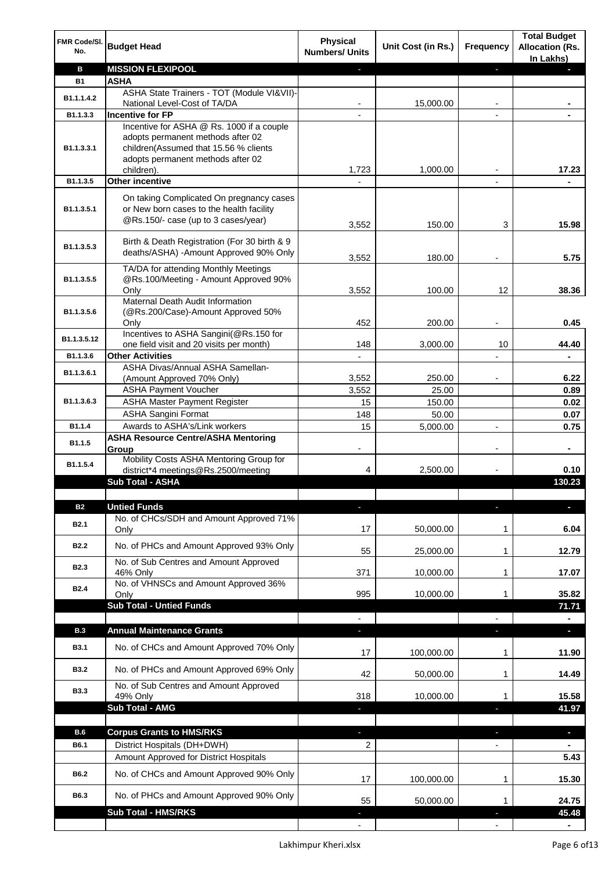| FMR Code/SI.<br>No. | <b>Budget Head</b>                                                                                                          | <b>Physical</b><br><b>Numbers/ Units</b> | Unit Cost (in Rs.) | Frequency                | <b>Total Budget</b><br><b>Allocation (Rs.</b><br>In Lakhs) |
|---------------------|-----------------------------------------------------------------------------------------------------------------------------|------------------------------------------|--------------------|--------------------------|------------------------------------------------------------|
| в                   | <b>MISSION FLEXIPOOL</b>                                                                                                    |                                          |                    | J,                       |                                                            |
| <b>B1</b>           | <b>ASHA</b>                                                                                                                 |                                          |                    |                          |                                                            |
| B1.1.1.4.2          | ASHA State Trainers - TOT (Module VI&VII)-                                                                                  |                                          |                    |                          |                                                            |
| B1.1.3.3            | National Level-Cost of TA/DA<br><b>Incentive for FP</b>                                                                     |                                          | 15,000.00          |                          |                                                            |
|                     | Incentive for ASHA @ Rs. 1000 if a couple                                                                                   |                                          |                    |                          |                                                            |
| B1.1.3.3.1          | adopts permanent methods after 02<br>children(Assumed that 15.56 % clients<br>adopts permanent methods after 02             |                                          |                    |                          |                                                            |
|                     | children).                                                                                                                  | 1,723                                    | 1,000.00           |                          | 17.23                                                      |
| B1.1.3.5            | <b>Other incentive</b>                                                                                                      |                                          |                    | $\blacksquare$           |                                                            |
| B1.1.3.5.1          | On taking Complicated On pregnancy cases<br>or New born cases to the health facility<br>@Rs.150/- case (up to 3 cases/year) | 3,552                                    | 150.00             | 3                        | 15.98                                                      |
| B1.1.3.5.3          | Birth & Death Registration (For 30 birth & 9<br>deaths/ASHA) - Amount Approved 90% Only                                     | 3,552                                    | 180.00             |                          | 5.75                                                       |
|                     | TA/DA for attending Monthly Meetings                                                                                        |                                          |                    |                          |                                                            |
| B1.1.3.5.5          | @Rs.100/Meeting - Amount Approved 90%                                                                                       |                                          |                    |                          |                                                            |
|                     | Only                                                                                                                        | 3,552                                    | 100.00             | 12                       | 38.36                                                      |
|                     | Maternal Death Audit Information                                                                                            |                                          |                    |                          |                                                            |
| B1.1.3.5.6          | (@Rs.200/Case)-Amount Approved 50%<br>Only                                                                                  | 452                                      | 200.00             |                          | 0.45                                                       |
|                     | Incentives to ASHA Sangini(@Rs.150 for                                                                                      |                                          |                    |                          |                                                            |
| B1.1.3.5.12         | one field visit and 20 visits per month)                                                                                    | 148                                      | 3,000.00           | 10                       | 44.40                                                      |
| B1.1.3.6            | <b>Other Activities</b>                                                                                                     | $\blacksquare$                           |                    |                          | ä,                                                         |
| B1.1.3.6.1          | ASHA Divas/Annual ASHA Samellan-                                                                                            |                                          |                    |                          |                                                            |
|                     | (Amount Approved 70% Only)                                                                                                  | 3,552                                    | 250.00             |                          | 6.22                                                       |
|                     | <b>ASHA Payment Voucher</b>                                                                                                 | 3,552                                    | 25.00              |                          | 0.89                                                       |
| B1.1.3.6.3          | <b>ASHA Master Payment Register</b>                                                                                         | 15                                       | 150.00             |                          | 0.02                                                       |
|                     | <b>ASHA Sangini Format</b>                                                                                                  | 148                                      | 50.00              |                          | 0.07                                                       |
| B1.1.4              | Awards to ASHA's/Link workers                                                                                               | 15                                       | 5,000.00           | $\overline{a}$           | 0.75                                                       |
| B1.1.5              | <b>ASHA Resource Centre/ASHA Mentoring</b><br>Group                                                                         | -                                        |                    | $\overline{\phantom{a}}$ | ٠                                                          |
| B1.1.5.4            | Mobility Costs ASHA Mentoring Group for<br>district*4 meetings@Rs.2500/meeting                                              | 4                                        | 2,500.00           |                          | 0.10                                                       |
|                     | <b>Sub Total - ASHA</b>                                                                                                     |                                          |                    |                          | 130.23                                                     |
|                     |                                                                                                                             |                                          |                    |                          |                                                            |
| <b>B2</b>           | <b>Untied Funds</b>                                                                                                         |                                          |                    | п                        |                                                            |
| B <sub>2.1</sub>    | No. of CHCs/SDH and Amount Approved 71%<br>Only                                                                             | 17                                       | 50,000.00          | 1                        | 6.04                                                       |
| <b>B2.2</b>         | No. of PHCs and Amount Approved 93% Only                                                                                    | 55                                       | 25,000.00          | 1                        | 12.79                                                      |
| B <sub>2.3</sub>    | No. of Sub Centres and Amount Approved                                                                                      |                                          |                    |                          |                                                            |
|                     | 46% Only<br>No. of VHNSCs and Amount Approved 36%                                                                           | 371                                      | 10,000.00          | 1                        | 17.07                                                      |
| <b>B2.4</b>         | Only                                                                                                                        | 995                                      | 10,000.00          | 1                        | 35.82                                                      |
|                     | <b>Sub Total - Untied Funds</b>                                                                                             |                                          |                    |                          | 71.71                                                      |
|                     |                                                                                                                             |                                          |                    |                          |                                                            |
| <b>B.3</b>          | <b>Annual Maintenance Grants</b>                                                                                            | J,                                       |                    |                          | P.                                                         |
| <b>B3.1</b>         | No. of CHCs and Amount Approved 70% Only                                                                                    | 17                                       | 100,000.00         | 1                        | 11.90                                                      |
| <b>B3.2</b>         | No. of PHCs and Amount Approved 69% Only                                                                                    | 42                                       | 50,000.00          | 1                        | 14.49                                                      |
| <b>B3.3</b>         | No. of Sub Centres and Amount Approved<br>49% Only                                                                          | 318                                      | 10,000.00          | 1                        | 15.58                                                      |
|                     | <b>Sub Total - AMG</b>                                                                                                      |                                          |                    | п                        | 41.97                                                      |
|                     |                                                                                                                             |                                          |                    |                          |                                                            |
| <b>B.6</b>          | <b>Corpus Grants to HMS/RKS</b>                                                                                             | r.                                       |                    | ı                        | $\overline{\phantom{a}}$                                   |
| B6.1                | District Hospitals (DH+DWH)                                                                                                 | 2                                        |                    | $\overline{\phantom{0}}$ |                                                            |
|                     | Amount Approved for District Hospitals                                                                                      |                                          |                    |                          | 5.43                                                       |
| B6.2                | No. of CHCs and Amount Approved 90% Only                                                                                    | 17                                       | 100,000.00         | 1                        | 15.30                                                      |
| B6.3                | No. of PHCs and Amount Approved 90% Only                                                                                    | 55                                       | 50,000.00          | 1                        | 24.75                                                      |
|                     | <b>Sub Total - HMS/RKS</b>                                                                                                  |                                          |                    |                          | 45.48                                                      |
|                     |                                                                                                                             |                                          |                    |                          |                                                            |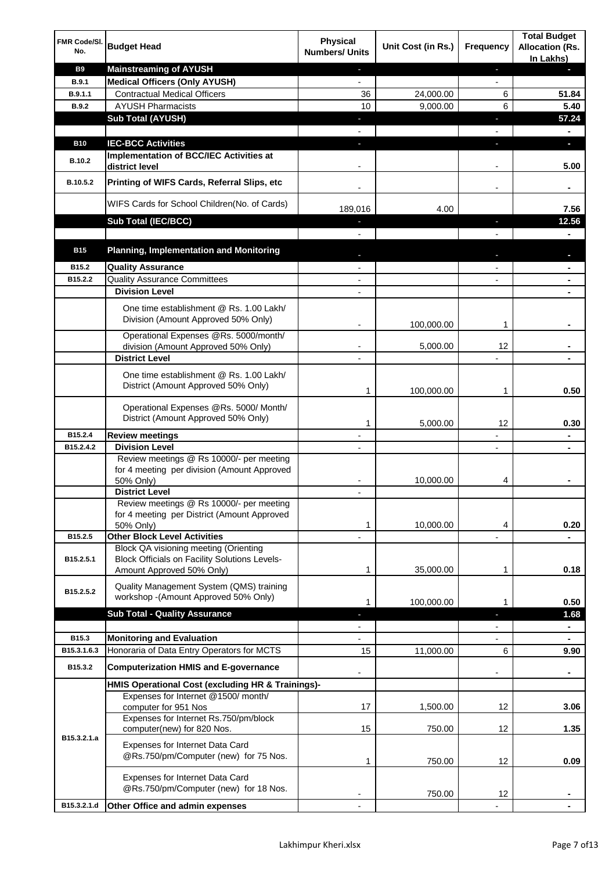| FMR Code/SI.<br>No. | <b>Budget Head</b>                                                                                                         | <b>Physical</b><br><b>Numbers/ Units</b> | Unit Cost (in Rs.) | Frequency                | <b>Total Budget</b><br><b>Allocation (Rs.</b><br>In Lakhs) |
|---------------------|----------------------------------------------------------------------------------------------------------------------------|------------------------------------------|--------------------|--------------------------|------------------------------------------------------------|
| <b>B9</b>           | <b>Mainstreaming of AYUSH</b>                                                                                              | J,                                       |                    | ٠                        | ٠                                                          |
| <b>B.9.1</b>        | <b>Medical Officers (Only AYUSH)</b>                                                                                       | $\overline{\phantom{a}}$                 |                    | $\overline{\phantom{a}}$ |                                                            |
| B.9.1.1             | <b>Contractual Medical Officers</b>                                                                                        | 36                                       | 24,000.00          | 6                        | 51.84                                                      |
| <b>B.9.2</b>        | <b>AYUSH Pharmacists</b>                                                                                                   | 10                                       | 9,000.00           | 6                        | 5.40                                                       |
|                     | <b>Sub Total (AYUSH)</b>                                                                                                   | ٠                                        |                    | J,                       | 57.24                                                      |
| <b>B10</b>          | <b>IEC-BCC Activities</b>                                                                                                  | J,                                       |                    | J,                       | ٠                                                          |
|                     | Implementation of BCC/IEC Activities at                                                                                    |                                          |                    |                          |                                                            |
| <b>B.10.2</b>       | district level                                                                                                             |                                          |                    |                          | 5.00                                                       |
| B.10.5.2            | Printing of WIFS Cards, Referral Slips, etc                                                                                |                                          |                    | $\overline{\phantom{a}}$ | ۰                                                          |
|                     | WIFS Cards for School Children(No. of Cards)                                                                               | 189,016                                  | 4.00               |                          | 7.56                                                       |
|                     | Sub Total (IEC/BCC)                                                                                                        |                                          |                    |                          | 12.56                                                      |
|                     |                                                                                                                            |                                          |                    |                          |                                                            |
| <b>B15</b>          | <b>Planning, Implementation and Monitoring</b>                                                                             |                                          |                    |                          |                                                            |
| B15.2               | <b>Quality Assurance</b>                                                                                                   |                                          |                    |                          | ۰                                                          |
| B15.2.2             | <b>Quality Assurance Committees</b>                                                                                        |                                          |                    |                          | ۰                                                          |
|                     | <b>Division Level</b>                                                                                                      |                                          |                    |                          |                                                            |
|                     | One time establishment @ Rs. 1.00 Lakh/<br>Division (Amount Approved 50% Only)                                             |                                          | 100,000.00         | 1                        |                                                            |
|                     | Operational Expenses @Rs. 5000/month/                                                                                      |                                          |                    |                          |                                                            |
|                     | division (Amount Approved 50% Only)<br><b>District Level</b>                                                               |                                          | 5,000.00           | 12                       |                                                            |
|                     |                                                                                                                            |                                          |                    |                          |                                                            |
|                     | One time establishment @ Rs. 1.00 Lakh/<br>District (Amount Approved 50% Only)                                             | 1                                        | 100,000.00         | 1                        | 0.50                                                       |
|                     | Operational Expenses @Rs. 5000/ Month/<br>District (Amount Approved 50% Only)                                              | 1                                        | 5,000.00           | 12                       | 0.30                                                       |
| B15.2.4             | <b>Review meetings</b>                                                                                                     | $\overline{a}$                           |                    | -                        | ۰                                                          |
| B15.2.4.2           | <b>Division Level</b>                                                                                                      |                                          |                    | $\overline{\phantom{a}}$ | ۰                                                          |
|                     | Review meetings @ Rs 10000/- per meeting<br>for 4 meeting per division (Amount Approved<br>50% Only)                       |                                          | 10,000.00          | 4                        |                                                            |
|                     | <b>District Level</b><br>Review meetings @ Rs 10000/- per meeting                                                          |                                          |                    |                          |                                                            |
|                     | for 4 meeting per District (Amount Approved<br>50% Only)                                                                   | 1                                        | 10,000.00          | 4                        | 0.20                                                       |
| B15.2.5             | <b>Other Block Level Activities</b>                                                                                        |                                          |                    |                          |                                                            |
| B15.2.5.1           | Block QA visioning meeting (Orienting<br><b>Block Officials on Facility Solutions Levels-</b><br>Amount Approved 50% Only) | 1                                        | 35,000.00          | 1                        | 0.18                                                       |
| B15.2.5.2           | Quality Management System (QMS) training                                                                                   |                                          |                    |                          |                                                            |
|                     | workshop - (Amount Approved 50% Only)                                                                                      | 1                                        | 100,000.00         | 1                        | 0.50                                                       |
|                     | <b>Sub Total - Quality Assurance</b>                                                                                       |                                          |                    | r                        | 1.68<br>۰                                                  |
| B15.3               | <b>Monitoring and Evaluation</b>                                                                                           |                                          |                    |                          |                                                            |
| B15.3.1.6.3         | Honoraria of Data Entry Operators for MCTS                                                                                 | 15                                       | 11,000.00          | 6                        | 9.90                                                       |
| B15.3.2             | <b>Computerization HMIS and E-governance</b>                                                                               |                                          |                    |                          | ä,                                                         |
|                     | HMIS Operational Cost (excluding HR & Trainings)-                                                                          |                                          |                    |                          |                                                            |
|                     | Expenses for Internet @1500/month/                                                                                         | 17                                       |                    | 12                       | 3.06                                                       |
|                     | computer for 951 Nos<br>Expenses for Internet Rs.750/pm/block                                                              |                                          | 1,500.00           |                          |                                                            |
| B15.3.2.1.a         | computer(new) for 820 Nos.<br>Expenses for Internet Data Card<br>@Rs.750/pm/Computer (new) for 75 Nos.                     | 15<br>1                                  | 750.00<br>750.00   | 12<br>12                 | 1.35<br>0.09                                               |
|                     | Expenses for Internet Data Card<br>@Rs.750/pm/Computer (new) for 18 Nos.                                                   |                                          | 750.00             | 12                       |                                                            |
| B15.3.2.1.d         | Other Office and admin expenses                                                                                            |                                          |                    |                          |                                                            |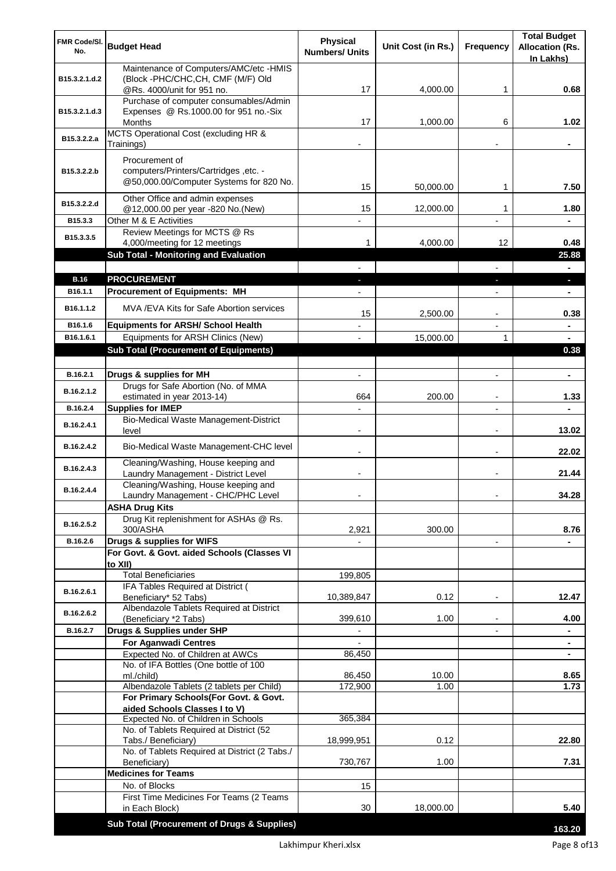| FMR Code/SI.<br>No.    | <b>Budget Head</b>                                                               | Physical<br><b>Numbers/ Units</b> | Unit Cost (in Rs.) | Frequency                     | <b>Total Budget</b><br><b>Allocation (Rs.</b><br>In Lakhs) |
|------------------------|----------------------------------------------------------------------------------|-----------------------------------|--------------------|-------------------------------|------------------------------------------------------------|
| B15.3.2.1.d.2          | Maintenance of Computers/AMC/etc -HMIS<br>(Block -PHC/CHC, CH, CMF (M/F) Old     |                                   |                    |                               |                                                            |
|                        | @Rs. 4000/unit for 951 no.<br>Purchase of computer consumables/Admin             | 17                                | 4,000.00           | 1                             | 0.68                                                       |
| B15.3.2.1.d.3          | Expenses @ Rs.1000.00 for 951 no.-Six                                            |                                   |                    |                               |                                                            |
|                        | Months                                                                           | 17                                | 1,000.00           | 6                             | 1.02                                                       |
| B15.3.2.2.a            | MCTS Operational Cost (excluding HR &<br>Trainings)                              |                                   |                    |                               |                                                            |
|                        | Procurement of                                                                   |                                   |                    |                               |                                                            |
| B15.3.2.2.b            | computers/Printers/Cartridges, etc. -<br>@50,000.00/Computer Systems for 820 No. | 15                                | 50,000.00          | 1                             | 7.50                                                       |
| B15.3.2.2.d            | Other Office and admin expenses                                                  |                                   |                    |                               |                                                            |
| B15.3.3                | @12,000.00 per year -820 No.(New)<br>Other M & E Activities                      | 15                                | 12,000.00          | 1                             | 1.80                                                       |
|                        | Review Meetings for MCTS @ Rs                                                    |                                   |                    |                               |                                                            |
| B15.3.3.5              | 4,000/meeting for 12 meetings                                                    | 1                                 | 4,000.00           | 12                            | 0.48                                                       |
|                        | <b>Sub Total - Monitoring and Evaluation</b>                                     |                                   |                    |                               | 25.88                                                      |
|                        |                                                                                  |                                   |                    |                               |                                                            |
| <b>B.16</b><br>B16.1.1 | <b>PROCUREMENT</b><br><b>Procurement of Equipments: MH</b>                       |                                   |                    |                               | ٠<br>۰                                                     |
|                        |                                                                                  |                                   |                    |                               |                                                            |
| B16.1.1.2              | MVA / EVA Kits for Safe Abortion services                                        | 15                                | 2,500.00           | $\blacksquare$                | 0.38                                                       |
| B16.1.6                | <b>Equipments for ARSH/ School Health</b><br>Equipments for ARSH Clinics (New)   | $\overline{a}$                    |                    | $\overline{\phantom{a}}$<br>1 | $\blacksquare$                                             |
| B16.1.6.1              | <b>Sub Total (Procurement of Equipments)</b>                                     |                                   | 15,000.00          |                               | ٠<br>0.38                                                  |
|                        |                                                                                  |                                   |                    |                               |                                                            |
| B.16.2.1               | Drugs & supplies for MH                                                          | $\blacksquare$                    |                    | $\overline{a}$                | $\blacksquare$                                             |
| B.16.2.1.2             | Drugs for Safe Abortion (No. of MMA<br>estimated in year 2013-14)                | 664                               | 200.00             | $\blacksquare$                | 1.33                                                       |
| B.16.2.4               | <b>Supplies for IMEP</b>                                                         |                                   |                    | $\overline{a}$                |                                                            |
| B.16.2.4.1             | <b>Bio-Medical Waste Management-District</b><br>level                            | $\blacksquare$                    |                    | $\overline{\phantom{a}}$      | 13.02                                                      |
| B.16.2.4.2             | Bio-Medical Waste Management-CHC level                                           |                                   |                    |                               | 22.02                                                      |
| B.16.2.4.3             | Cleaning/Washing, House keeping and<br>Laundry Management - District Level       |                                   |                    |                               | 21.44                                                      |
| B.16.2.4.4             | Cleaning/Washing, House keeping and<br>Laundry Management - CHC/PHC Level        |                                   |                    |                               | 34.28                                                      |
|                        | <b>ASHA Drug Kits</b>                                                            |                                   |                    |                               |                                                            |
| B.16.2.5.2             | Drug Kit replenishment for ASHAs @ Rs.<br>300/ASHA                               | 2,921                             | 300.00             |                               | 8.76                                                       |
| B.16.2.6               | Drugs & supplies for WIFS                                                        |                                   |                    | $\overline{\phantom{a}}$      |                                                            |
|                        | For Govt. & Govt. aided Schools (Classes VI<br>to XII)                           |                                   |                    |                               |                                                            |
|                        | <b>Total Beneficiaries</b>                                                       | 199,805                           |                    |                               |                                                            |
| B.16.2.6.1             | IFA Tables Required at District (<br>Beneficiary* 52 Tabs)                       | 10,389,847                        | 0.12               |                               | 12.47                                                      |
| B.16.2.6.2             | Albendazole Tablets Required at District                                         | 399,610                           | 1.00               |                               | 4.00                                                       |
| B.16.2.7               | (Beneficiary *2 Tabs)<br>Drugs & Supplies under SHP                              |                                   |                    |                               |                                                            |
|                        | <b>For Aganwadi Centres</b>                                                      |                                   |                    |                               | ٠                                                          |
|                        | Expected No. of Children at AWCs                                                 | 86,450                            |                    |                               | ٠                                                          |
|                        | No. of IFA Bottles (One bottle of 100                                            |                                   |                    |                               |                                                            |
|                        | ml./child)<br>Albendazole Tablets (2 tablets per Child)                          | 86,450<br>172,900                 | 10.00<br>1.00      |                               | 8.65<br>1.73                                               |
|                        | For Primary Schools(For Govt. & Govt.                                            |                                   |                    |                               |                                                            |
|                        | aided Schools Classes I to V)                                                    |                                   |                    |                               |                                                            |
|                        | Expected No. of Children in Schools<br>No. of Tablets Required at District (52   | 365,384                           |                    |                               |                                                            |
|                        | Tabs./ Beneficiary)                                                              | 18,999,951                        | 0.12               |                               | 22.80                                                      |
|                        | No. of Tablets Required at District (2 Tabs./                                    |                                   |                    |                               |                                                            |
|                        | Beneficiary)<br><b>Medicines for Teams</b>                                       | 730,767                           | 1.00               |                               | 7.31                                                       |
|                        | No. of Blocks                                                                    | 15                                |                    |                               |                                                            |
|                        | First Time Medicines For Teams (2 Teams                                          |                                   |                    |                               |                                                            |
|                        | in Each Block)                                                                   | 30                                | 18,000.00          |                               | 5.40                                                       |
|                        | Sub Total (Procurement of Drugs & Supplies)                                      |                                   |                    |                               | 163.20                                                     |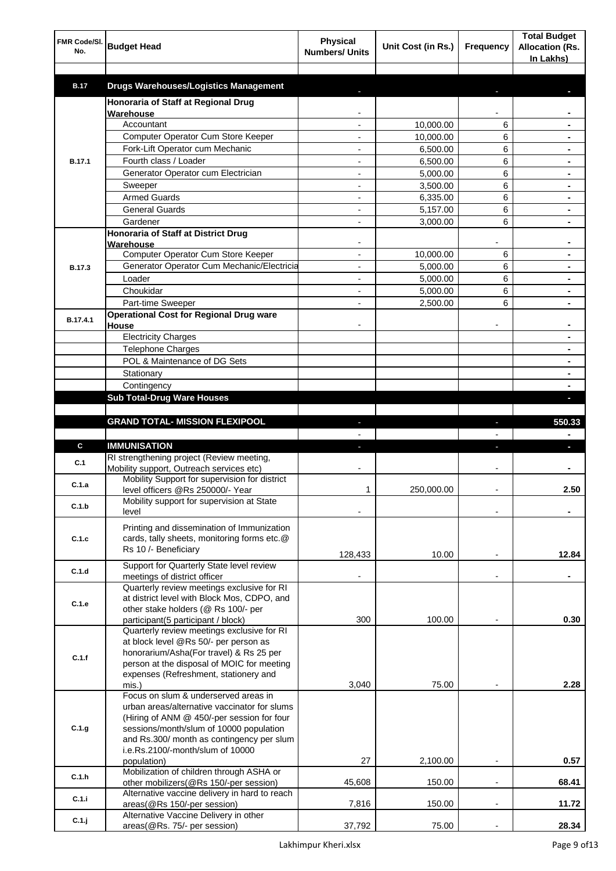| FMR Code/SI.<br>No. | <b>Budget Head</b>                                                                    | <b>Physical</b><br><b>Numbers/ Units</b> | Unit Cost (in Rs.) | Frequency                | <b>Total Budget</b><br><b>Allocation (Rs.</b><br>In Lakhs) |
|---------------------|---------------------------------------------------------------------------------------|------------------------------------------|--------------------|--------------------------|------------------------------------------------------------|
| <b>B.17</b>         | <b>Drugs Warehouses/Logistics Management</b>                                          |                                          |                    |                          |                                                            |
|                     | Honoraria of Staff at Regional Drug                                                   |                                          |                    |                          |                                                            |
|                     | Warehouse                                                                             |                                          |                    |                          |                                                            |
|                     | Accountant                                                                            |                                          | 10,000.00          | 6                        |                                                            |
|                     | Computer Operator Cum Store Keeper                                                    |                                          | 10,000.00          | 6                        |                                                            |
|                     | Fork-Lift Operator cum Mechanic                                                       |                                          | 6,500.00           | 6                        |                                                            |
| <b>B.17.1</b>       | Fourth class / Loader                                                                 |                                          | 6,500.00           | 6                        |                                                            |
|                     | Generator Operator cum Electrician                                                    |                                          | 5,000.00           | 6                        |                                                            |
|                     | Sweeper                                                                               |                                          | 3,500.00           | 6                        |                                                            |
|                     | <b>Armed Guards</b>                                                                   |                                          | 6,335.00           | 6                        |                                                            |
|                     | <b>General Guards</b>                                                                 |                                          | 5,157.00           | 6                        |                                                            |
|                     | Gardener                                                                              |                                          | 3,000.00           | 6                        |                                                            |
|                     | Honoraria of Staff at District Drug<br>Warehouse                                      |                                          |                    |                          |                                                            |
|                     | Computer Operator Cum Store Keeper                                                    |                                          | 10,000.00          | 6                        |                                                            |
| <b>B.17.3</b>       | Generator Operator Cum Mechanic/Electricia                                            |                                          | 5,000.00           | 6                        |                                                            |
|                     | Loader                                                                                |                                          | 5,000.00           | 6                        |                                                            |
|                     | Choukidar                                                                             |                                          | 5,000.00           | 6                        |                                                            |
|                     | Part-time Sweeper                                                                     |                                          | 2,500.00           | 6                        |                                                            |
| B.17.4.1            | <b>Operational Cost for Regional Drug ware</b><br>House                               |                                          |                    |                          |                                                            |
|                     | <b>Electricity Charges</b>                                                            |                                          |                    |                          | ۰                                                          |
|                     | <b>Telephone Charges</b>                                                              |                                          |                    |                          | ۰                                                          |
|                     | POL & Maintenance of DG Sets                                                          |                                          |                    |                          | ۰                                                          |
|                     | Stationary                                                                            |                                          |                    |                          | ۰                                                          |
|                     | Contingency                                                                           |                                          |                    |                          |                                                            |
|                     | <b>Sub Total-Drug Ware Houses</b>                                                     |                                          |                    |                          |                                                            |
|                     |                                                                                       |                                          |                    |                          |                                                            |
|                     | <b>GRAND TOTAL- MISSION FLEXIPOOL</b>                                                 |                                          |                    | ı                        | 550.33                                                     |
|                     |                                                                                       |                                          |                    |                          |                                                            |
| C                   | <b>IMMUNISATION</b>                                                                   |                                          |                    |                          |                                                            |
| C.1                 | RI strengthening project (Review meeting,<br>Mobility support, Outreach services etc) |                                          |                    |                          |                                                            |
| C.1.a               | Mobility Support for supervision for district                                         |                                          |                    |                          |                                                            |
|                     | level officers @Rs 250000/- Year<br>Mobility support for supervision at State         | 1                                        | 250,000.00         |                          | 2.50                                                       |
| C.1.b               | level                                                                                 |                                          |                    |                          |                                                            |
|                     | Printing and dissemination of Immunization                                            |                                          |                    |                          |                                                            |
| C.1.c               | cards, tally sheets, monitoring forms etc.@                                           |                                          |                    |                          |                                                            |
|                     | Rs 10 /- Beneficiary                                                                  | 128,433                                  | 10.00              |                          | 12.84                                                      |
|                     | Support for Quarterly State level review                                              |                                          |                    |                          |                                                            |
| C.1.d               | meetings of district officer                                                          |                                          |                    | $\blacksquare$           |                                                            |
|                     | Quarterly review meetings exclusive for RI                                            |                                          |                    |                          |                                                            |
| C.1.e               | at district level with Block Mos, CDPO, and                                           |                                          |                    |                          |                                                            |
|                     | other stake holders (@ Rs 100/- per                                                   | 300                                      | 100.00             |                          | 0.30                                                       |
|                     | participant(5 participant / block)<br>Quarterly review meetings exclusive for RI      |                                          |                    |                          |                                                            |
|                     | at block level @Rs 50/- per person as                                                 |                                          |                    |                          |                                                            |
| C.1.f               | honorarium/Asha(For travel) & Rs 25 per                                               |                                          |                    |                          |                                                            |
|                     | person at the disposal of MOIC for meeting                                            |                                          |                    |                          |                                                            |
|                     | expenses (Refreshment, stationery and                                                 |                                          |                    |                          |                                                            |
|                     | mis.)<br>Focus on slum & underserved areas in                                         | 3,040                                    | 75.00              |                          | 2.28                                                       |
|                     | urban areas/alternative vaccinator for slums                                          |                                          |                    |                          |                                                            |
|                     | (Hiring of ANM @ 450/-per session for four                                            |                                          |                    |                          |                                                            |
| C.1.g               | sessions/month/slum of 10000 population                                               |                                          |                    |                          |                                                            |
|                     | and Rs.300/ month as contingency per slum                                             |                                          |                    |                          |                                                            |
|                     | i.e.Rs.2100/-month/slum of 10000                                                      |                                          |                    |                          |                                                            |
|                     | population)<br>Mobilization of children through ASHA or                               | 27                                       | 2,100.00           |                          | 0.57                                                       |
| C.1.h               | other mobilizers(@Rs 150/-per session)                                                | 45,608                                   | 150.00             | $\overline{a}$           | 68.41                                                      |
| C.1.i               | Alternative vaccine delivery in hard to reach                                         |                                          |                    |                          |                                                            |
|                     | areas(@Rs 150/-per session)                                                           | 7,816                                    | 150.00             | $\overline{\phantom{a}}$ | 11.72                                                      |
| $C.1.$ j            | Alternative Vaccine Delivery in other                                                 |                                          |                    |                          |                                                            |
|                     | areas(@Rs. 75/- per session)                                                          | 37,792                                   | 75.00              |                          | 28.34                                                      |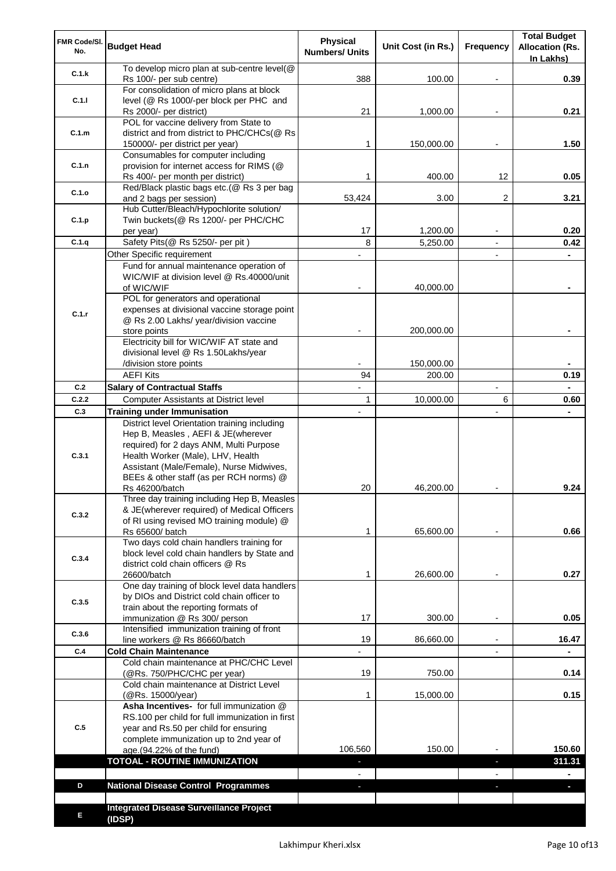| FMR Code/SI.<br>No. | <b>Budget Head</b>                                                                                                       | Physical<br><b>Numbers/ Units</b> | Unit Cost (in Rs.)   | Frequency                | <b>Total Budget</b><br><b>Allocation (Rs.</b><br>In Lakhs) |
|---------------------|--------------------------------------------------------------------------------------------------------------------------|-----------------------------------|----------------------|--------------------------|------------------------------------------------------------|
| C.1.k               | To develop micro plan at sub-centre level(@<br>Rs 100/- per sub centre)                                                  | 388                               | 100.00               |                          | 0.39                                                       |
| C.1.1               | For consolidation of micro plans at block<br>level (@ Rs 1000/-per block per PHC and                                     |                                   |                      |                          |                                                            |
|                     | Rs 2000/- per district)                                                                                                  | 21                                | 1,000.00             |                          | 0.21                                                       |
| C.1.m               | POL for vaccine delivery from State to<br>district and from district to PHC/CHCs(@ Rs<br>150000/- per district per year) | 1                                 | 150,000.00           |                          | 1.50                                                       |
|                     | Consumables for computer including                                                                                       |                                   |                      |                          |                                                            |
| C.1.n               | provision for internet access for RIMS (@<br>Rs 400/- per month per district)                                            | 1                                 | 400.00               | 12                       | 0.05                                                       |
| C.1.o               | Red/Black plastic bags etc.(@ Rs 3 per bag                                                                               | 53,424                            | 3.00                 | 2                        | 3.21                                                       |
|                     | and 2 bags per session)<br>Hub Cutter/Bleach/Hypochlorite solution/                                                      |                                   |                      |                          |                                                            |
| C.1.p               | Twin buckets(@ Rs 1200/- per PHC/CHC                                                                                     |                                   |                      |                          |                                                            |
| C.1.q               | per year)<br>Safety Pits(@ Rs 5250/- per pit)                                                                            | 17<br>8                           | 1,200.00<br>5,250.00 |                          | 0.20<br>0.42                                               |
|                     | Other Specific requirement                                                                                               |                                   |                      | $\blacksquare$           |                                                            |
|                     | Fund for annual maintenance operation of                                                                                 |                                   |                      |                          |                                                            |
|                     | WIC/WIF at division level @ Rs.40000/unit                                                                                |                                   |                      |                          |                                                            |
|                     | of WIC/WIF                                                                                                               |                                   | 40,000.00            |                          |                                                            |
|                     | POL for generators and operational<br>expenses at divisional vaccine storage point                                       |                                   |                      |                          |                                                            |
| C.1.r               | @ Rs 2.00 Lakhs/ year/division vaccine                                                                                   |                                   |                      |                          |                                                            |
|                     | store points                                                                                                             |                                   | 200,000.00           |                          |                                                            |
|                     | Electricity bill for WIC/WIF AT state and                                                                                |                                   |                      |                          |                                                            |
|                     | divisional level @ Rs 1.50Lakhs/year                                                                                     |                                   |                      |                          |                                                            |
|                     | /division store points<br><b>AEFI Kits</b>                                                                               | 94                                | 150,000.00<br>200.00 |                          | 0.19                                                       |
| C.2                 | <b>Salary of Contractual Staffs</b>                                                                                      |                                   |                      | $\overline{\phantom{a}}$ |                                                            |
| C.2.2               | Computer Assistants at District level                                                                                    | $\mathbf{1}$                      | 10,000.00            | 6                        | 0.60                                                       |
| C.3                 | <b>Training under Immunisation</b>                                                                                       | $\overline{a}$                    |                      | $\overline{a}$           |                                                            |
|                     | District level Orientation training including                                                                            |                                   |                      |                          |                                                            |
|                     | Hep B, Measles, AEFI & JE(wherever                                                                                       |                                   |                      |                          |                                                            |
|                     | required) for 2 days ANM, Multi Purpose                                                                                  |                                   |                      |                          |                                                            |
| C.3.1               | Health Worker (Male), LHV, Health                                                                                        |                                   |                      |                          |                                                            |
|                     | Assistant (Male/Female), Nurse Midwives,<br>BEEs & other staff (as per RCH norms) @                                      |                                   |                      |                          |                                                            |
|                     | Rs 46200/batch                                                                                                           | 20                                | 46,200.00            |                          | 9.24                                                       |
|                     | Three day training including Hep B, Measles                                                                              |                                   |                      |                          |                                                            |
| C.3.2               | & JE(wherever required) of Medical Officers                                                                              |                                   |                      |                          |                                                            |
|                     | of RI using revised MO training module) @<br>Rs 65600/ batch                                                             | 1                                 | 65,600.00            |                          | 0.66                                                       |
|                     | Two days cold chain handlers training for                                                                                |                                   |                      |                          |                                                            |
|                     | block level cold chain handlers by State and                                                                             |                                   |                      |                          |                                                            |
| C.3.4               | district cold chain officers @ Rs                                                                                        |                                   |                      |                          |                                                            |
|                     | 26600/batch                                                                                                              | 1                                 | 26,600.00            |                          | 0.27                                                       |
|                     | One day training of block level data handlers<br>by DIOs and District cold chain officer to                              |                                   |                      |                          |                                                            |
| C.3.5               | train about the reporting formats of                                                                                     |                                   |                      |                          |                                                            |
|                     | immunization @ Rs 300/ person                                                                                            | 17                                | 300.00               | $\overline{\phantom{a}}$ | 0.05                                                       |
| C.3.6               | Intensified immunization training of front                                                                               |                                   |                      |                          |                                                            |
|                     | line workers @ Rs 86660/batch                                                                                            | 19                                | 86,660.00            | $\blacksquare$           | 16.47                                                      |
| C.4                 | <b>Cold Chain Maintenance</b><br>Cold chain maintenance at PHC/CHC Level                                                 |                                   |                      |                          |                                                            |
|                     | (@Rs. 750/PHC/CHC per year)                                                                                              | 19                                | 750.00               |                          | 0.14                                                       |
|                     | Cold chain maintenance at District Level                                                                                 |                                   |                      |                          |                                                            |
|                     | (@Rs. 15000/year)                                                                                                        | 1                                 | 15,000.00            |                          | 0.15                                                       |
|                     | Asha Incentives- for full immunization @                                                                                 |                                   |                      |                          |                                                            |
| C.5                 | RS.100 per child for full immunization in first<br>year and Rs.50 per child for ensuring                                 |                                   |                      |                          |                                                            |
|                     | complete immunization up to 2nd year of                                                                                  |                                   |                      |                          |                                                            |
|                     | age.(94.22% of the fund)                                                                                                 | 106,560                           | 150.00               |                          | 150.60                                                     |
|                     | <b>TOTOAL - ROUTINE IMMUNIZATION</b>                                                                                     |                                   |                      |                          | 311.31                                                     |
|                     |                                                                                                                          |                                   |                      |                          |                                                            |
| D                   | <b>National Disease Control Programmes</b>                                                                               |                                   |                      |                          |                                                            |
|                     |                                                                                                                          |                                   |                      |                          |                                                            |
| Е                   | <b>Integrated Disease Surveillance Project</b><br>(IDSP)                                                                 |                                   |                      |                          |                                                            |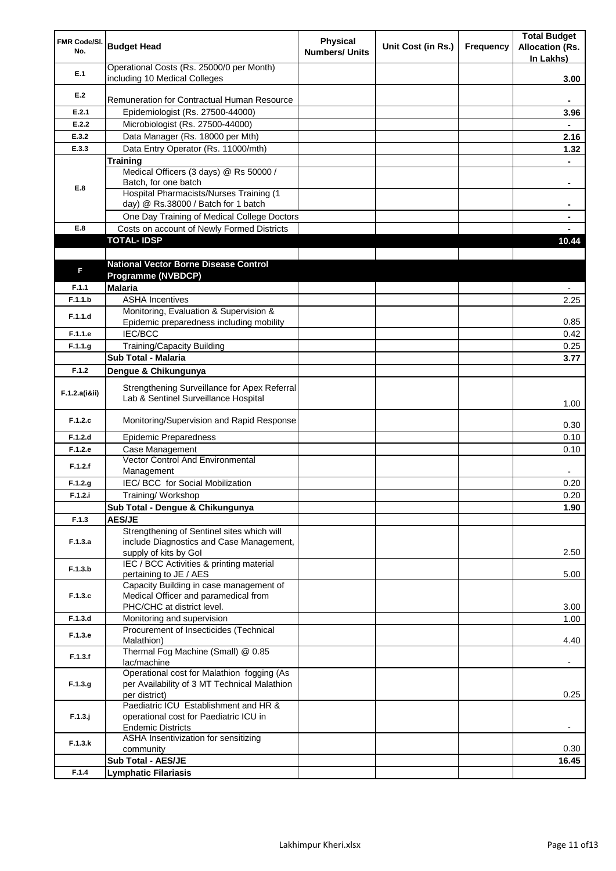| FMR Code/SI.<br>No. | <b>Budget Head</b>                                                                         | <b>Physical</b><br><b>Numbers/ Units</b> | Unit Cost (in Rs.) | Frequency | <b>Total Budget</b><br><b>Allocation (Rs.</b><br>In Lakhs) |
|---------------------|--------------------------------------------------------------------------------------------|------------------------------------------|--------------------|-----------|------------------------------------------------------------|
| E.1                 | Operational Costs (Rs. 25000/0 per Month)<br>including 10 Medical Colleges                 |                                          |                    |           | 3.00                                                       |
| E.2                 |                                                                                            |                                          |                    |           |                                                            |
|                     | Remuneration for Contractual Human Resource                                                |                                          |                    |           |                                                            |
| E.2.1               | Epidemiologist (Rs. 27500-44000)                                                           |                                          |                    |           | 3.96                                                       |
| E.2.2<br>E.3.2      | Microbiologist (Rs. 27500-44000)<br>Data Manager (Rs. 18000 per Mth)                       |                                          |                    |           | 2.16                                                       |
| E.3.3               | Data Entry Operator (Rs. 11000/mth)                                                        |                                          |                    |           | 1.32                                                       |
|                     | <b>Training</b>                                                                            |                                          |                    |           |                                                            |
|                     | Medical Officers (3 days) @ Rs 50000 /                                                     |                                          |                    |           |                                                            |
| E.8                 | Batch, for one batch                                                                       |                                          |                    |           |                                                            |
|                     | Hospital Pharmacists/Nurses Training (1                                                    |                                          |                    |           |                                                            |
|                     | day) @ Rs.38000 / Batch for 1 batch<br>One Day Training of Medical College Doctors         |                                          |                    |           |                                                            |
| E.8                 | Costs on account of Newly Formed Districts                                                 |                                          |                    |           |                                                            |
|                     | <b>TOTAL-IDSP</b>                                                                          |                                          |                    |           | 10.44                                                      |
|                     |                                                                                            |                                          |                    |           |                                                            |
|                     | <b>National Vector Borne Disease Control</b>                                               |                                          |                    |           |                                                            |
| F                   | Programme (NVBDCP)                                                                         |                                          |                    |           |                                                            |
| F.1.1               | <b>Malaria</b>                                                                             |                                          |                    |           |                                                            |
| F.1.1.b             | <b>ASHA Incentives</b>                                                                     |                                          |                    |           | 2.25                                                       |
| F.1.1.d             | Monitoring, Evaluation & Supervision &                                                     |                                          |                    |           |                                                            |
| F.1.1.e             | Epidemic preparedness including mobility<br><b>IEC/BCC</b>                                 |                                          |                    |           | 0.85                                                       |
| F.1.1.g             | <b>Training/Capacity Building</b>                                                          |                                          |                    |           | 0.42<br>0.25                                               |
|                     | Sub Total - Malaria                                                                        |                                          |                    |           | 3.77                                                       |
| F.1.2               | Dengue & Chikungunya                                                                       |                                          |                    |           |                                                            |
|                     |                                                                                            |                                          |                    |           |                                                            |
| F.1.2.a(iⅈ)         | Strengthening Surveillance for Apex Referral<br>Lab & Sentinel Surveillance Hospital       |                                          |                    |           | 1.00                                                       |
| F.1.2.c             | Monitoring/Supervision and Rapid Response                                                  |                                          |                    |           | 0.30                                                       |
| F.1.2.d             | <b>Epidemic Preparedness</b>                                                               |                                          |                    |           | 0.10                                                       |
| F.1.2.e             | Case Management<br>Vector Control And Environmental                                        |                                          |                    |           | 0.10                                                       |
| F.1.2.f             | Management                                                                                 |                                          |                    |           |                                                            |
| F.1.2.g             | IEC/ BCC for Social Mobilization                                                           |                                          |                    |           | 0.20                                                       |
| F.1.2.i             | Training/ Workshop                                                                         |                                          |                    |           | 0.20                                                       |
|                     | Sub Total - Dengue & Chikungunya                                                           |                                          |                    |           | 1.90                                                       |
| F.1.3               | <b>AES/JE</b>                                                                              |                                          |                    |           |                                                            |
|                     | Strengthening of Sentinel sites which will                                                 |                                          |                    |           |                                                            |
| F.1.3.a             | include Diagnostics and Case Management,<br>supply of kits by Gol                          |                                          |                    |           | 2.50                                                       |
|                     | IEC / BCC Activities & printing material                                                   |                                          |                    |           |                                                            |
| F.1.3.b             | pertaining to JE / AES                                                                     |                                          |                    |           | 5.00                                                       |
|                     | Capacity Building in case management of                                                    |                                          |                    |           |                                                            |
| F.1.3.c             | Medical Officer and paramedical from                                                       |                                          |                    |           |                                                            |
| F.1.3.d             | PHC/CHC at district level.                                                                 |                                          |                    |           | 3.00                                                       |
|                     | Monitoring and supervision<br>Procurement of Insecticides (Technical                       |                                          |                    |           | 1.00                                                       |
| F.1.3.e             | Malathion)                                                                                 |                                          |                    |           | 4.40                                                       |
| F.1.3.f             | Thermal Fog Machine (Small) @ 0.85                                                         |                                          |                    |           |                                                            |
|                     | lac/machine                                                                                |                                          |                    |           |                                                            |
| F.1.3.g             | Operational cost for Malathion fogging (As<br>per Availability of 3 MT Technical Malathion |                                          |                    |           |                                                            |
|                     | per district)                                                                              |                                          |                    |           | 0.25                                                       |
|                     | Paediatric ICU Establishment and HR &                                                      |                                          |                    |           |                                                            |
| $F.1.3.$ j          | operational cost for Paediatric ICU in                                                     |                                          |                    |           |                                                            |
|                     | <b>Endemic Districts</b>                                                                   |                                          |                    |           |                                                            |
| F.1.3.k             | ASHA Insentivization for sensitizing<br>community                                          |                                          |                    |           | 0.30                                                       |
|                     | Sub Total - AES/JE                                                                         |                                          |                    |           | 16.45                                                      |
| F.1.4               | <b>Lymphatic Filariasis</b>                                                                |                                          |                    |           |                                                            |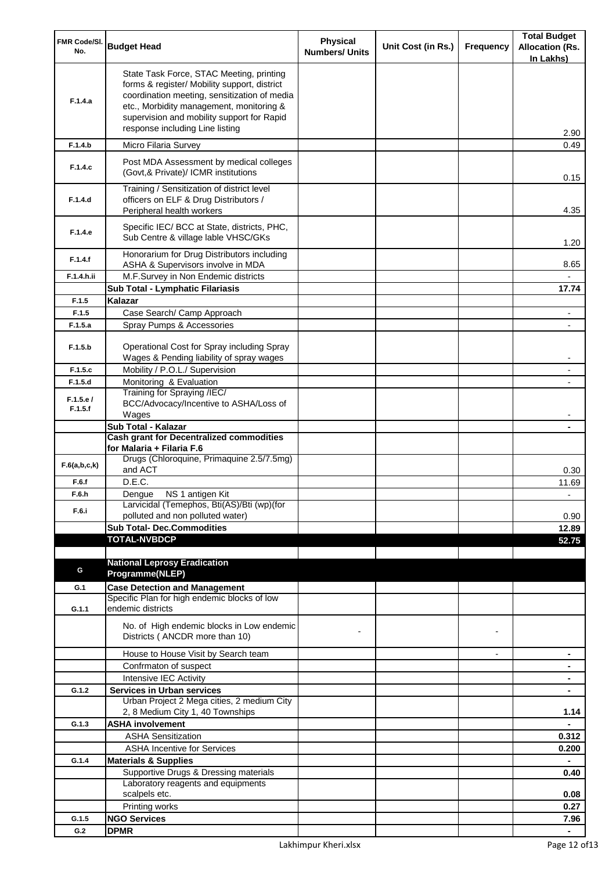| FMR Code/SI.<br>No. | <b>Budget Head</b>                                                                                                                                                                                                                                                    | <b>Physical</b><br><b>Numbers/ Units</b> | Unit Cost (in Rs.) | Frequency      | <b>Total Budget</b><br><b>Allocation (Rs.</b><br>In Lakhs) |
|---------------------|-----------------------------------------------------------------------------------------------------------------------------------------------------------------------------------------------------------------------------------------------------------------------|------------------------------------------|--------------------|----------------|------------------------------------------------------------|
| F.1.4.a             | State Task Force, STAC Meeting, printing<br>forms & register/ Mobility support, district<br>coordination meeting, sensitization of media<br>etc., Morbidity management, monitoring &<br>supervision and mobility support for Rapid<br>response including Line listing |                                          |                    |                | 2.90                                                       |
| F.1.4.b             | Micro Filaria Survey                                                                                                                                                                                                                                                  |                                          |                    |                | 0.49                                                       |
| F.1.4.c             | Post MDA Assessment by medical colleges<br>(Govt, & Private)/ ICMR institutions                                                                                                                                                                                       |                                          |                    |                | 0.15                                                       |
| F.1.4.d             | Training / Sensitization of district level<br>officers on ELF & Drug Distributors /<br>Peripheral health workers                                                                                                                                                      |                                          |                    |                | 4.35                                                       |
| F.1.4.e             | Specific IEC/ BCC at State, districts, PHC,<br>Sub Centre & village lable VHSC/GKs                                                                                                                                                                                    |                                          |                    |                | 1.20                                                       |
| F.1.4.f             | Honorarium for Drug Distributors including<br>ASHA & Supervisors involve in MDA                                                                                                                                                                                       |                                          |                    |                | 8.65                                                       |
| F.1.4.h.ii          | M.F.Survey in Non Endemic districts                                                                                                                                                                                                                                   |                                          |                    |                |                                                            |
|                     | Sub Total - Lymphatic Filariasis                                                                                                                                                                                                                                      |                                          |                    |                | 17.74                                                      |
| F.1.5<br>F.1.5      | Kalazar                                                                                                                                                                                                                                                               |                                          |                    |                |                                                            |
| F.1.5.a             | Case Search/ Camp Approach<br>Spray Pumps & Accessories                                                                                                                                                                                                               |                                          |                    |                |                                                            |
| F.1.5.b             | Operational Cost for Spray including Spray                                                                                                                                                                                                                            |                                          |                    |                |                                                            |
|                     | Wages & Pending liability of spray wages                                                                                                                                                                                                                              |                                          |                    |                |                                                            |
| F.1.5.c             | Mobility / P.O.L./ Supervision                                                                                                                                                                                                                                        |                                          |                    |                |                                                            |
| F.1.5.d             | Monitoring & Evaluation                                                                                                                                                                                                                                               |                                          |                    |                |                                                            |
| F.1.5.e/<br>F.1.5.f | Training for Spraying /IEC/<br>BCC/Advocacy/Incentive to ASHA/Loss of<br>Wages                                                                                                                                                                                        |                                          |                    |                |                                                            |
|                     | Sub Total - Kalazar                                                                                                                                                                                                                                                   |                                          |                    |                |                                                            |
|                     | <b>Cash grant for Decentralized commodities</b><br>for Malaria + Filaria F.6                                                                                                                                                                                          |                                          |                    |                |                                                            |
| F.6(a,b,c,k)        | Drugs (Chloroquine, Primaquine 2.5/7.5mg)<br>and ACT                                                                                                                                                                                                                  |                                          |                    |                | 0.30                                                       |
| F.6.f               | D.E.C.                                                                                                                                                                                                                                                                |                                          |                    |                | 11.69                                                      |
| F.6.h<br>F.6.i      | Dengue NS 1 antigen Kit<br>Larvicidal (Temephos, Bti(AS)/Bti (wp)(for<br>polluted and non polluted water)                                                                                                                                                             |                                          |                    |                | 0.90                                                       |
|                     | <b>Sub Total- Dec.Commodities</b>                                                                                                                                                                                                                                     |                                          |                    |                | 12.89                                                      |
|                     | <b>TOTAL-NVBDCP</b>                                                                                                                                                                                                                                                   |                                          |                    |                | 52.75                                                      |
|                     |                                                                                                                                                                                                                                                                       |                                          |                    |                |                                                            |
| G                   | <b>National Leprosy Eradication</b><br>Programme(NLEP)                                                                                                                                                                                                                |                                          |                    |                |                                                            |
|                     |                                                                                                                                                                                                                                                                       |                                          |                    |                |                                                            |
| G.1                 | <b>Case Detection and Management</b><br>Specific Plan for high endemic blocks of low                                                                                                                                                                                  |                                          |                    |                |                                                            |
| G.1.1               | endemic districts                                                                                                                                                                                                                                                     |                                          |                    |                |                                                            |
|                     | No. of High endemic blocks in Low endemic<br>Districts (ANCDR more than 10)                                                                                                                                                                                           |                                          |                    |                |                                                            |
|                     | House to House Visit by Search team                                                                                                                                                                                                                                   |                                          |                    | $\blacksquare$ | $\blacksquare$                                             |
|                     | Confrmaton of suspect                                                                                                                                                                                                                                                 |                                          |                    |                | ۰                                                          |
|                     | Intensive IEC Activity                                                                                                                                                                                                                                                |                                          |                    |                | $\blacksquare$                                             |
| G.1.2               | <b>Services in Urban services</b><br>Urban Project 2 Mega cities, 2 medium City                                                                                                                                                                                       |                                          |                    |                | ٠                                                          |
|                     | 2, 8 Medium City 1, 40 Townships                                                                                                                                                                                                                                      |                                          |                    |                | 1.14                                                       |
| G.1.3               | <b>ASHA involvement</b>                                                                                                                                                                                                                                               |                                          |                    |                |                                                            |
|                     | <b>ASHA Sensitization</b>                                                                                                                                                                                                                                             |                                          |                    |                | 0.312                                                      |
|                     | <b>ASHA Incentive for Services</b>                                                                                                                                                                                                                                    |                                          |                    |                | 0.200                                                      |
| G.1.4               | <b>Materials &amp; Supplies</b>                                                                                                                                                                                                                                       |                                          |                    |                |                                                            |
|                     | Supportive Drugs & Dressing materials                                                                                                                                                                                                                                 |                                          |                    |                | 0.40                                                       |
|                     | Laboratory reagents and equipments<br>scalpels etc.                                                                                                                                                                                                                   |                                          |                    |                |                                                            |
|                     | Printing works                                                                                                                                                                                                                                                        |                                          |                    |                | 0.08<br>0.27                                               |
| G.1.5               | <b>NGO Services</b>                                                                                                                                                                                                                                                   |                                          |                    |                | 7.96                                                       |
| G.2                 | <b>DPMR</b>                                                                                                                                                                                                                                                           |                                          |                    |                |                                                            |